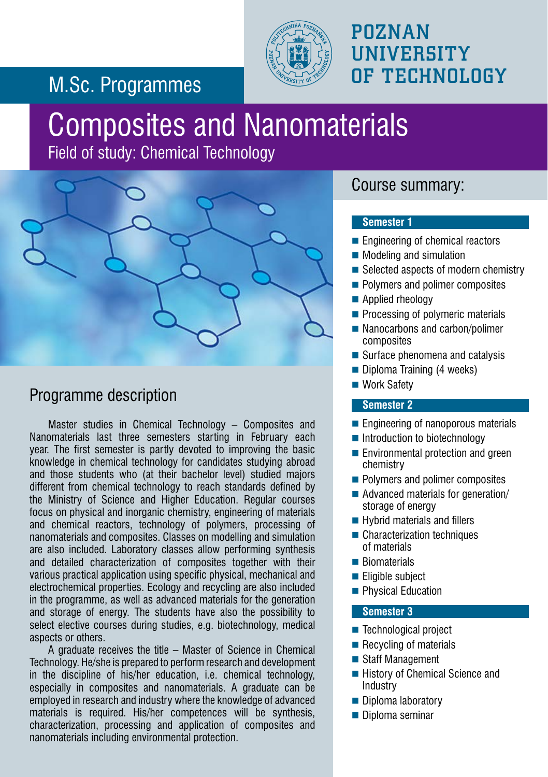### POZNAN **UNIVERSITY** OF TECHNOLOGY

### M.Sc. Programmes

# Composites and Nanomaterials

Field of study: Chemical Technology



### Programme description

Master studies in Chemical Technology – Composites and Nanomaterials last three semesters starting in February each year. The first semester is partly devoted to improving the basic knowledge in chemical technology for candidates studying abroad and those students who (at their bachelor level) studied majors different from chemical technology to reach standards defined by the Ministry of Science and Higher Education. Regular courses focus on physical and inorganic chemistry, engineering of materials and chemical reactors, technology of polymers, processing of nanomaterials and composites. Classes on modelling and simulation are also included. Laboratory classes allow performing synthesis and detailed characterization of composites together with their various practical application using specific physical, mechanical and electrochemical properties. Ecology and recycling are also included in the programme, as well as advanced materials for the generation and storage of energy. The students have also the possibility to select elective courses during studies, e.g. biotechnology, medical aspects or others.

A graduate receives the title – Master of Science in Chemical Technology. He/she is prepared to perform research and development in the discipline of his/her education, i.e. chemical technology, especially in composites and nanomaterials. A graduate can be employed in research and industry where the knowledge of advanced materials is required. His/her competences will be synthesis, characterization, processing and application of composites and nanomaterials including environmental protection.

#### Course summary:

#### **Semester 1**

- Engineering of chemical reactors
- Modeling and simulation
- $\blacksquare$  Selected aspects of modern chemistry
- Polymers and polimer composites
- Applied rheology
- Processing of polymeric materials
- Nanocarbons and carbon/polimer composites
- Surface phenomena and catalysis
- Diploma Training (4 weeks)
- Work Safety

#### **Semester 2**

- Engineering of nanoporous materials
- Introduction to biotechnology
- **Environmental protection and green** chemistry
- **Polymers and polimer composites**
- Advanced materials for generation/ storage of energy
- Hybrid materials and fillers
- Characterization techniques of materials
- **Biomaterials**
- **Eligible subject**
- **Physical Education**

#### **Semester 3**

- Technological project
- $\blacksquare$  Recycling of materials
- Staff Management
- History of Chemical Science and **Industry**
- Diploma laboratory
- Diploma seminar